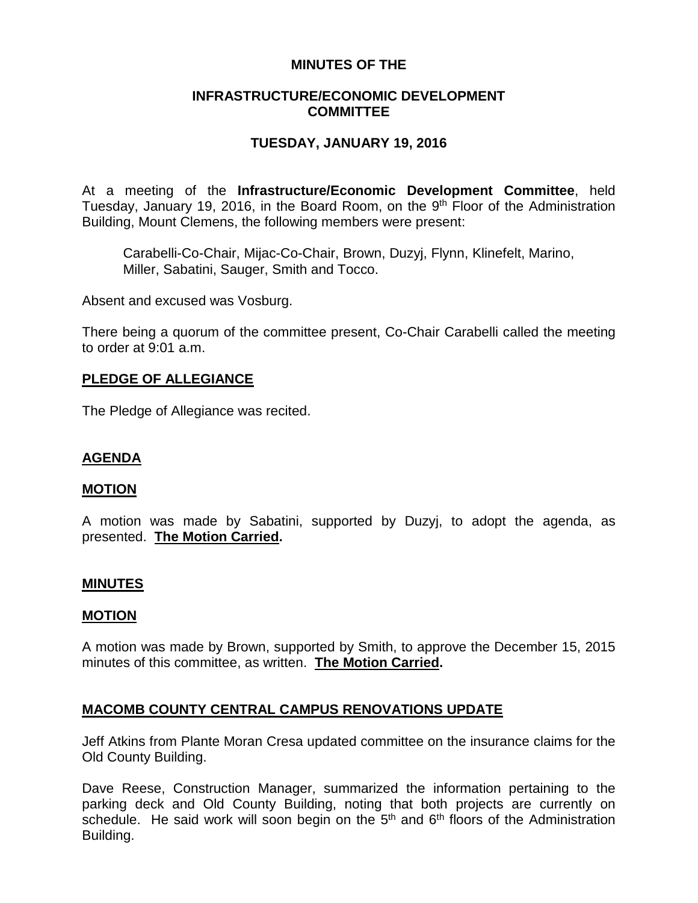# **MINUTES OF THE**

# **INFRASTRUCTURE/ECONOMIC DEVELOPMENT COMMITTEE**

# **TUESDAY, JANUARY 19, 2016**

At a meeting of the **Infrastructure/Economic Development Committee**, held Tuesday, January 19, 2016, in the Board Room, on the 9<sup>th</sup> Floor of the Administration Building, Mount Clemens, the following members were present:

Carabelli-Co-Chair, Mijac-Co-Chair, Brown, Duzyj, Flynn, Klinefelt, Marino, Miller, Sabatini, Sauger, Smith and Tocco.

Absent and excused was Vosburg.

There being a quorum of the committee present, Co-Chair Carabelli called the meeting to order at 9:01 a.m.

# **PLEDGE OF ALLEGIANCE**

The Pledge of Allegiance was recited.

### **AGENDA**

#### **MOTION**

A motion was made by Sabatini, supported by Duzyj, to adopt the agenda, as presented. **The Motion Carried.**

### **MINUTES**

#### **MOTION**

A motion was made by Brown, supported by Smith, to approve the December 15, 2015 minutes of this committee, as written. **The Motion Carried.**

### **MACOMB COUNTY CENTRAL CAMPUS RENOVATIONS UPDATE**

Jeff Atkins from Plante Moran Cresa updated committee on the insurance claims for the Old County Building.

Dave Reese, Construction Manager, summarized the information pertaining to the parking deck and Old County Building, noting that both projects are currently on schedule. He said work will soon begin on the  $5<sup>th</sup>$  and  $6<sup>th</sup>$  floors of the Administration Building.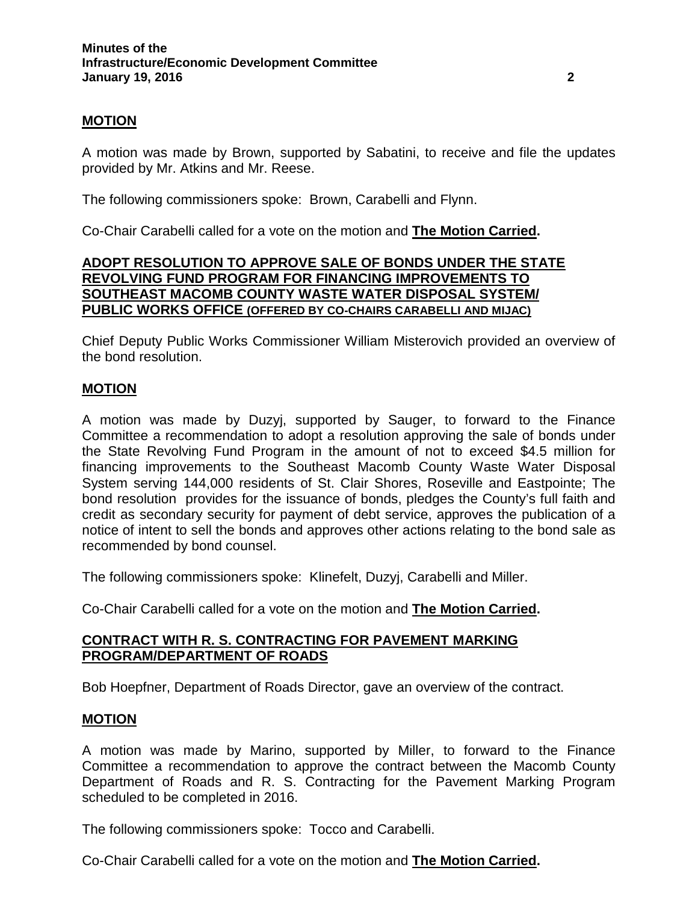# **MOTION**

A motion was made by Brown, supported by Sabatini, to receive and file the updates provided by Mr. Atkins and Mr. Reese.

The following commissioners spoke: Brown, Carabelli and Flynn.

Co-Chair Carabelli called for a vote on the motion and **The Motion Carried.**

# **ADOPT RESOLUTION TO APPROVE SALE OF BONDS UNDER THE STATE REVOLVING FUND PROGRAM FOR FINANCING IMPROVEMENTS TO SOUTHEAST MACOMB COUNTY WASTE WATER DISPOSAL SYSTEM/ PUBLIC WORKS OFFICE (OFFERED BY CO-CHAIRS CARABELLI AND MIJAC)**

Chief Deputy Public Works Commissioner William Misterovich provided an overview of the bond resolution.

# **MOTION**

A motion was made by Duzyj, supported by Sauger, to forward to the Finance Committee a recommendation to adopt a resolution approving the sale of bonds under the State Revolving Fund Program in the amount of not to exceed \$4.5 million for financing improvements to the Southeast Macomb County Waste Water Disposal System serving 144,000 residents of St. Clair Shores, Roseville and Eastpointe; The bond resolution provides for the issuance of bonds, pledges the County's full faith and credit as secondary security for payment of debt service, approves the publication of a notice of intent to sell the bonds and approves other actions relating to the bond sale as recommended by bond counsel.

The following commissioners spoke: Klinefelt, Duzyj, Carabelli and Miller.

Co-Chair Carabelli called for a vote on the motion and **The Motion Carried.**

# **CONTRACT WITH R. S. CONTRACTING FOR PAVEMENT MARKING PROGRAM/DEPARTMENT OF ROADS**

Bob Hoepfner, Department of Roads Director, gave an overview of the contract.

### **MOTION**

A motion was made by Marino, supported by Miller, to forward to the Finance Committee a recommendation to approve the contract between the Macomb County Department of Roads and R. S. Contracting for the Pavement Marking Program scheduled to be completed in 2016.

The following commissioners spoke: Tocco and Carabelli.

Co-Chair Carabelli called for a vote on the motion and **The Motion Carried.**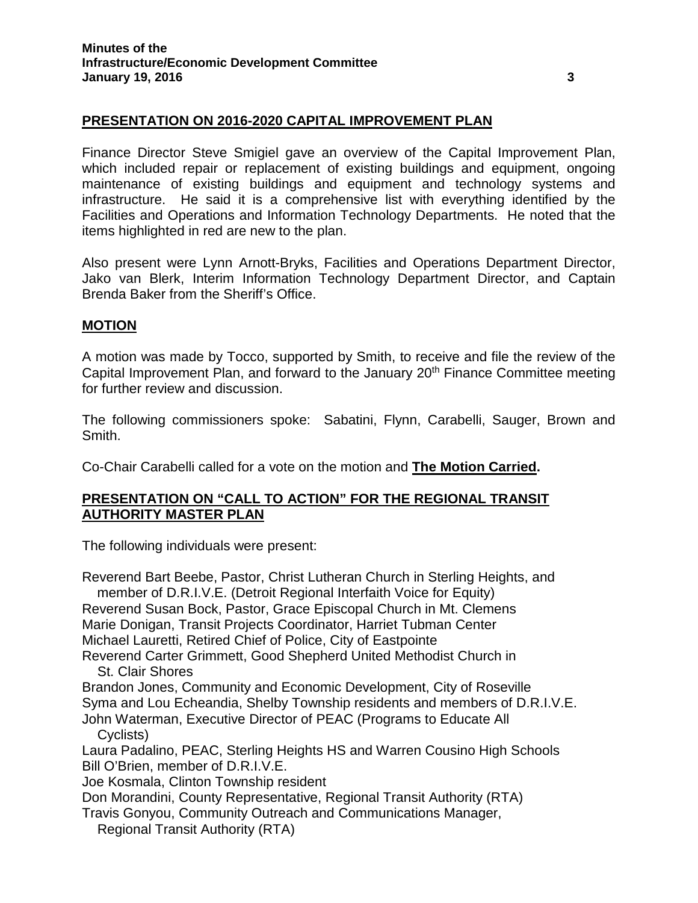# **PRESENTATION ON 2016-2020 CAPITAL IMPROVEMENT PLAN**

Finance Director Steve Smigiel gave an overview of the Capital Improvement Plan, which included repair or replacement of existing buildings and equipment, ongoing maintenance of existing buildings and equipment and technology systems and infrastructure. He said it is a comprehensive list with everything identified by the Facilities and Operations and Information Technology Departments. He noted that the items highlighted in red are new to the plan.

Also present were Lynn Arnott-Bryks, Facilities and Operations Department Director, Jako van Blerk, Interim Information Technology Department Director, and Captain Brenda Baker from the Sheriff's Office.

### **MOTION**

A motion was made by Tocco, supported by Smith, to receive and file the review of the Capital Improvement Plan, and forward to the January 20<sup>th</sup> Finance Committee meeting for further review and discussion.

The following commissioners spoke: Sabatini, Flynn, Carabelli, Sauger, Brown and Smith.

Co-Chair Carabelli called for a vote on the motion and **The Motion Carried.**

# **PRESENTATION ON "CALL TO ACTION" FOR THE REGIONAL TRANSIT AUTHORITY MASTER PLAN**

The following individuals were present:

Reverend Bart Beebe, Pastor, Christ Lutheran Church in Sterling Heights, and member of D.R.I.V.E. (Detroit Regional Interfaith Voice for Equity) Reverend Susan Bock, Pastor, Grace Episcopal Church in Mt. Clemens Marie Donigan, Transit Projects Coordinator, Harriet Tubman Center Michael Lauretti, Retired Chief of Police, City of Eastpointe Reverend Carter Grimmett, Good Shepherd United Methodist Church in St. Clair Shores Brandon Jones, Community and Economic Development, City of Roseville Syma and Lou Echeandia, Shelby Township residents and members of D.R.I.V.E. John Waterman, Executive Director of PEAC (Programs to Educate All Cyclists) Laura Padalino, PEAC, Sterling Heights HS and Warren Cousino High Schools Bill O'Brien, member of D.R.I.V.E. Joe Kosmala, Clinton Township resident Don Morandini, County Representative, Regional Transit Authority (RTA) Travis Gonyou, Community Outreach and Communications Manager, Regional Transit Authority (RTA)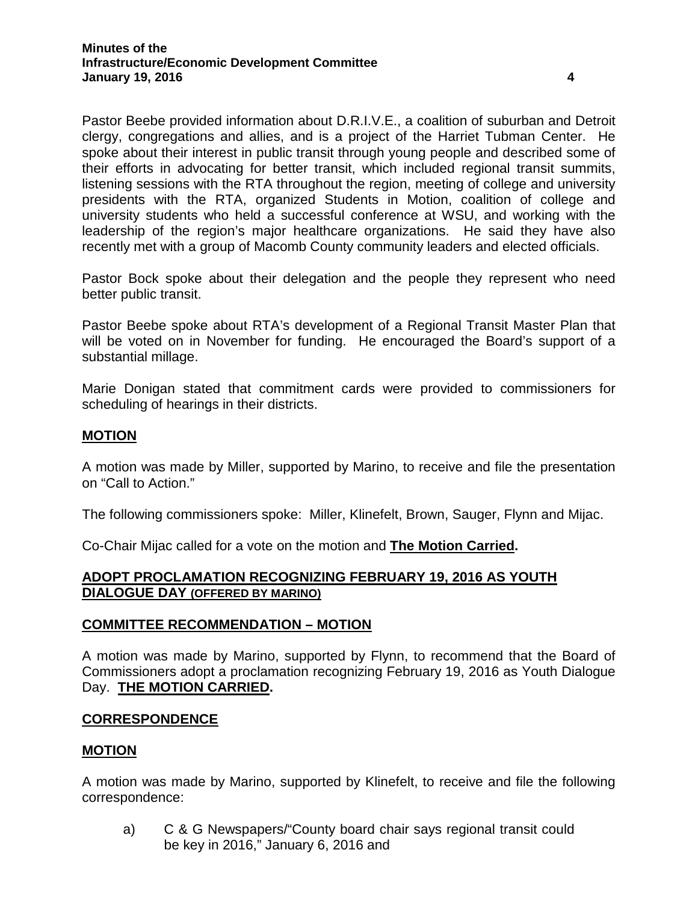Pastor Beebe provided information about D.R.I.V.E., a coalition of suburban and Detroit clergy, congregations and allies, and is a project of the Harriet Tubman Center. He spoke about their interest in public transit through young people and described some of their efforts in advocating for better transit, which included regional transit summits, listening sessions with the RTA throughout the region, meeting of college and university presidents with the RTA, organized Students in Motion, coalition of college and university students who held a successful conference at WSU, and working with the leadership of the region's major healthcare organizations. He said they have also recently met with a group of Macomb County community leaders and elected officials.

Pastor Bock spoke about their delegation and the people they represent who need better public transit.

Pastor Beebe spoke about RTA's development of a Regional Transit Master Plan that will be voted on in November for funding. He encouraged the Board's support of a substantial millage.

Marie Donigan stated that commitment cards were provided to commissioners for scheduling of hearings in their districts.

# **MOTION**

A motion was made by Miller, supported by Marino, to receive and file the presentation on "Call to Action."

The following commissioners spoke: Miller, Klinefelt, Brown, Sauger, Flynn and Mijac.

Co-Chair Mijac called for a vote on the motion and **The Motion Carried.**

# **ADOPT PROCLAMATION RECOGNIZING FEBRUARY 19, 2016 AS YOUTH DIALOGUE DAY (OFFERED BY MARINO)**

### **COMMITTEE RECOMMENDATION – MOTION**

A motion was made by Marino, supported by Flynn, to recommend that the Board of Commissioners adopt a proclamation recognizing February 19, 2016 as Youth Dialogue Day. **THE MOTION CARRIED.**

### **CORRESPONDENCE**

### **MOTION**

A motion was made by Marino, supported by Klinefelt, to receive and file the following correspondence:

a) C & G Newspapers/"County board chair says regional transit could be key in 2016," January 6, 2016 and